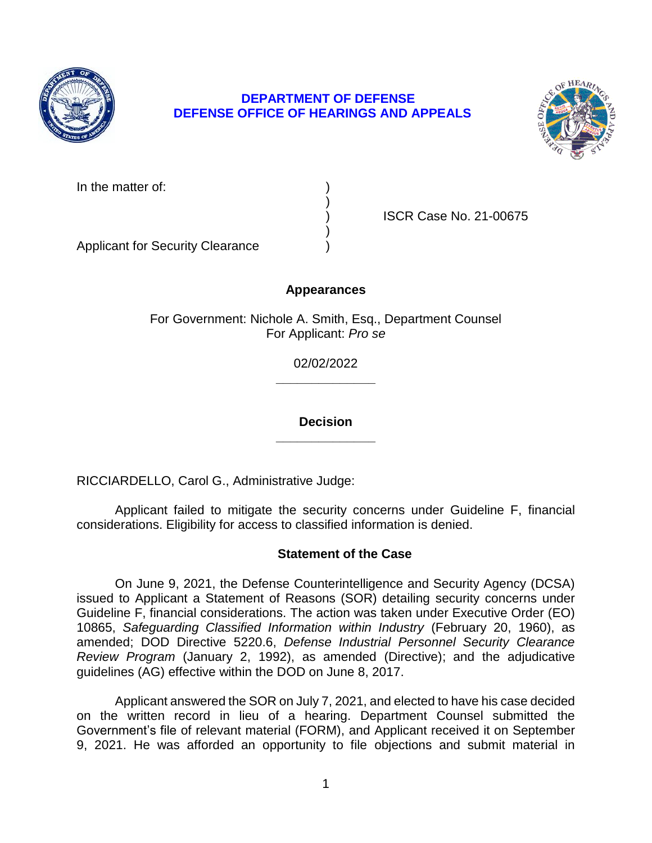

# **DEPARTMENT OF DEFENSE DEFENSE OFFICE OF HEARINGS AND APPEALS**



| In the matter of: |  |
|-------------------|--|
|-------------------|--|

) ISCR Case No. 21-00675

 $)$ Applicant for Security Clearance )

# **Appearances**

)

For Government: Nichole A. Smith, Esq., Department Counsel For Applicant: *Pro se* 

> **\_\_\_\_\_\_\_\_\_\_\_\_\_\_**  02/02/2022

> **Decision \_\_\_\_\_\_\_\_\_\_\_\_\_\_**

RICCIARDELLO, Carol G., Administrative Judge:

 Applicant failed to mitigate the security concerns under Guideline F, financial considerations. Eligibility for access to classified information is denied.

# **Statement of the Case**

 On June 9, 2021, the Defense Counterintelligence and Security Agency (DCSA) issued to Applicant a Statement of Reasons (SOR) detailing security concerns under Guideline F, financial considerations. The action was taken under Executive Order (EO)  10865, *Safeguarding Classified Information within Industry* (February 20, 1960), as *Review Program* (January 2, 1992), as amended (Directive); and the adjudicative amended; DOD Directive 5220.6, *Defense Industrial Personnel Security Clearance*  guidelines (AG) effective within the DOD on June 8, 2017.

 Applicant answered the SOR on July 7, 2021, and elected to have his case decided on the written record in lieu of a hearing. Department Counsel submitted the Government's file of relevant material (FORM), and Applicant received it on September 9, 2021. He was afforded an opportunity to file objections and submit material in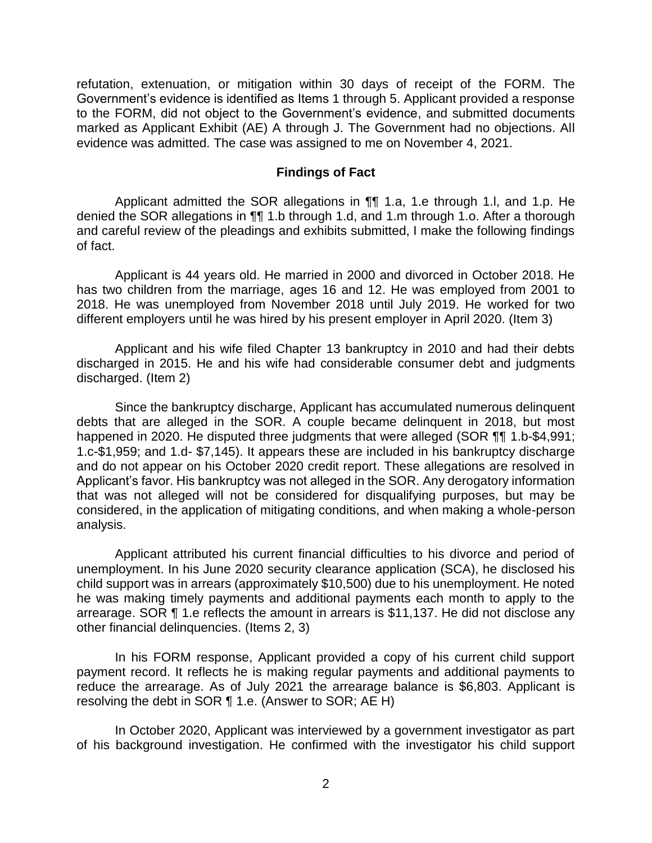refutation, extenuation, or mitigation within 30 days of receipt of the FORM. The Government's evidence is identified as Items 1 through 5. Applicant provided a response to the FORM, did not object to the Government's evidence, and submitted documents marked as Applicant Exhibit (AE) A through J. The Government had no objections. All evidence was admitted. The case was assigned to me on November 4, 2021.

#### **Findings of Fact**

 Applicant admitted the SOR allegations in ¶¶ 1.a, 1.e through 1.l, and 1.p. He denied the SOR allegations in ¶¶ 1.b through 1.d, and 1.m through 1.o. After a thorough and careful review of the pleadings and exhibits submitted, I make the following findings of fact.

 Applicant is 44 years old. He married in 2000 and divorced in October 2018. He has two children from the marriage, ages 16 and 12. He was employed from 2001 to 2018. He was unemployed from November 2018 until July 2019. He worked for two different employers until he was hired by his present employer in April 2020. (Item 3)

 Applicant and his wife filed Chapter 13 bankruptcy in 2010 and had their debts discharged in 2015. He and his wife had considerable consumer debt and judgments discharged. (Item 2)

 Since the bankruptcy discharge, Applicant has accumulated numerous delinquent debts that are alleged in the SOR. A couple became delinquent in 2018, but most happened in 2020. He disputed three judgments that were alleged (SOR ¶¶ 1.b-\$4,991; and do not appear on his October 2020 credit report. These allegations are resolved in Applicant's favor. His bankruptcy was not alleged in the SOR. Any derogatory information that was not alleged will not be considered for disqualifying purposes, but may be considered, in the application of mitigating conditions, and when making a whole-person 1.c-\$1,959; and 1.d- \$7,145). It appears these are included in his bankruptcy discharge analysis.

 Applicant attributed his current financial difficulties to his divorce and period of unemployment. In his June 2020 security clearance application (SCA), he disclosed his child support was in arrears (approximately \$10,500) due to his unemployment. He noted he was making timely payments and additional payments each month to apply to the arrearage. SOR ¶ 1.e reflects the amount in arrears is \$11,137. He did not disclose any other financial delinquencies. (Items 2, 3)

 In his FORM response, Applicant provided a copy of his current child support payment record. It reflects he is making regular payments and additional payments to reduce the arrearage. As of July 2021 the arrearage balance is \$6,803. Applicant is resolving the debt in SOR ¶ 1.e. (Answer to SOR; AE H)

 In October 2020, Applicant was interviewed by a government investigator as part of his background investigation. He confirmed with the investigator his child support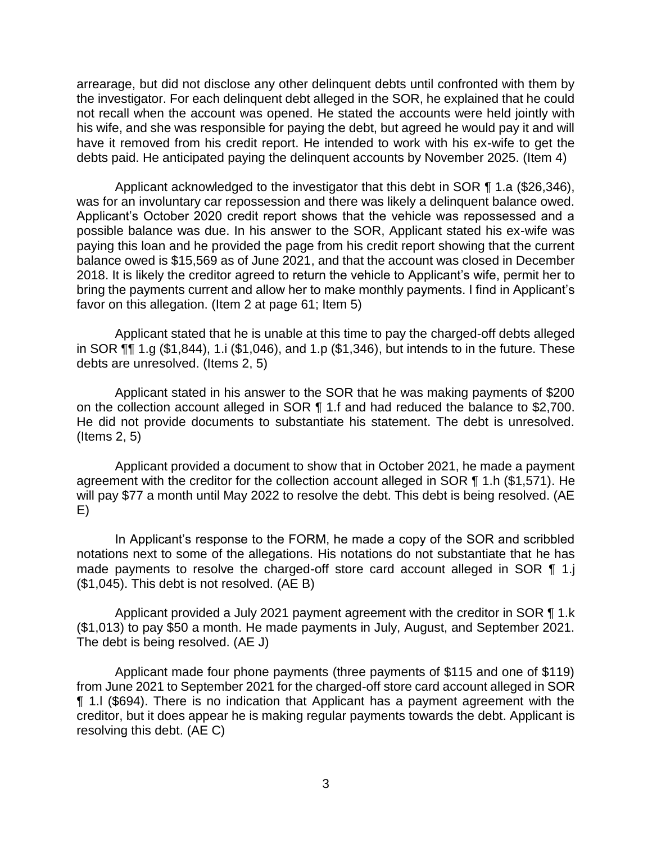arrearage, but did not disclose any other delinquent debts until confronted with them by the investigator. For each delinquent debt alleged in the SOR, he explained that he could not recall when the account was opened. He stated the accounts were held jointly with his wife, and she was responsible for paying the debt, but agreed he would pay it and will have it removed from his credit report. He intended to work with his ex-wife to get the debts paid. He anticipated paying the delinquent accounts by November 2025. (Item 4)

 Applicant acknowledged to the investigator that this debt in SOR ¶ 1.a (\$26,346), was for an involuntary car repossession and there was likely a delinquent balance owed. Applicant's October 2020 credit report shows that the vehicle was repossessed and a possible balance was due. In his answer to the SOR, Applicant stated his ex-wife was balance owed is \$15,569 as of June 2021, and that the account was closed in December bring the payments current and allow her to make monthly payments. I find in Applicant's paying this loan and he provided the page from his credit report showing that the current 2018. It is likely the creditor agreed to return the vehicle to Applicant's wife, permit her to favor on this allegation. (Item 2 at page 61; Item 5)

 Applicant stated that he is unable at this time to pay the charged-off debts alleged in SOR ¶¶ 1.g (\$1,844), 1.i (\$1,046), and 1.p (\$1,346), but intends to in the future. These debts are unresolved. (Items 2, 5)

 Applicant stated in his answer to the SOR that he was making payments of \$200 on the collection account alleged in SOR ¶ 1.f and had reduced the balance to \$2,700. He did not provide documents to substantiate his statement. The debt is unresolved. (Items 2, 5)

 Applicant provided a document to show that in October 2021, he made a payment agreement with the creditor for the collection account alleged in SOR ¶ 1.h (\$1,571). He will pay \$77 a month until May 2022 to resolve the debt. This debt is being resolved. (AE E)

 In Applicant's response to the FORM, he made a copy of the SOR and scribbled notations next to some of the allegations. His notations do not substantiate that he has made payments to resolve the charged-off store card account alleged in SOR 1 1.j (\$1,045). This debt is not resolved. (AE B)

Applicant provided a July 2021 payment agreement with the creditor in SOR 11.k (\$1,013) to pay \$50 a month. He made payments in July, August, and September 2021. The debt is being resolved. (AE J)

 Applicant made four phone payments (three payments of \$115 and one of \$119) from June 2021 to September 2021 for the charged-off store card account alleged in SOR ¶ 1.l (\$694). There is no indication that Applicant has a payment agreement with the creditor, but it does appear he is making regular payments towards the debt. Applicant is resolving this debt. (AE C)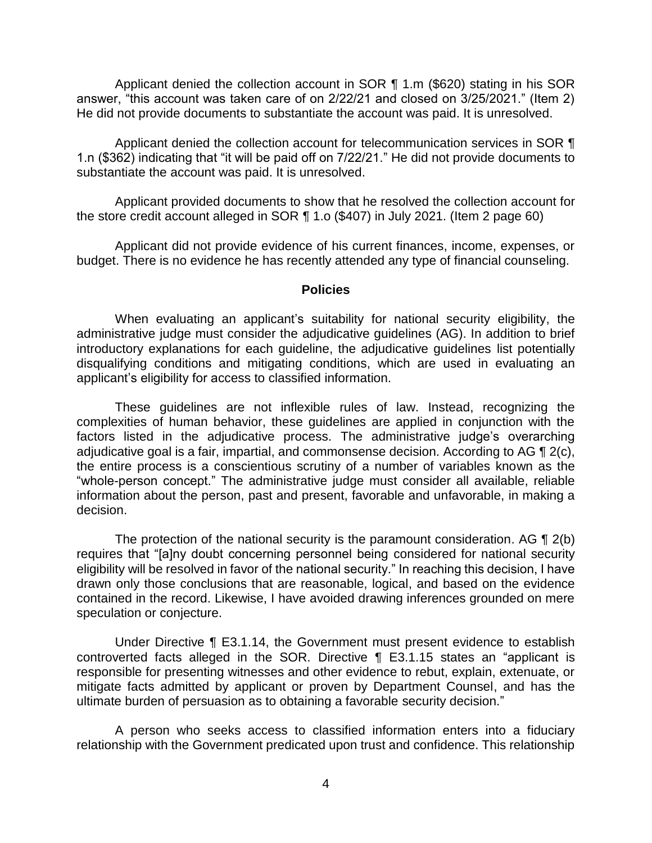Applicant denied the collection account in SOR ¶ 1.m (\$620) stating in his SOR answer, "this account was taken care of on 2/22/21 and closed on 3/25/2021." (Item 2) He did not provide documents to substantiate the account was paid. It is unresolved.

Applicant denied the collection account for telecommunication services in SOR  $\P$ 1.n (\$362) indicating that "it will be paid off on 7/22/21." He did not provide documents to substantiate the account was paid. It is unresolved.

 Applicant provided documents to show that he resolved the collection account for the store credit account alleged in SOR ¶ 1.o (\$407) in July 2021. (Item 2 page 60)

 Applicant did not provide evidence of his current finances, income, expenses, or budget. There is no evidence he has recently attended any type of financial counseling.

#### **Policies**

 administrative judge must consider the adjudicative guidelines (AG). In addition to brief introductory explanations for each guideline, the adjudicative guidelines list potentially disqualifying conditions and mitigating conditions, which are used in evaluating an When evaluating an applicant's suitability for national security eligibility, the applicant's eligibility for access to classified information.

 These guidelines are not inflexible rules of law. Instead, recognizing the complexities of human behavior, these guidelines are applied in conjunction with the factors listed in the adjudicative process. The administrative judge's overarching adjudicative goal is a fair, impartial, and commonsense decision. According to AG  $\P$  2(c), the entire process is a conscientious scrutiny of a number of variables known as the "whole-person concept." The administrative judge must consider all available, reliable information about the person, past and present, favorable and unfavorable, in making a decision.

The protection of the national security is the paramount consideration. AG  $\P$  2(b) eligibility will be resolved in favor of the national security." In reaching this decision, I have drawn only those conclusions that are reasonable, logical, and based on the evidence contained in the record. Likewise, I have avoided drawing inferences grounded on mere requires that "[a]ny doubt concerning personnel being considered for national security speculation or conjecture.

 Under Directive ¶ E3.1.14, the Government must present evidence to establish controverted facts alleged in the SOR. Directive ¶ E3.1.15 states an "applicant is responsible for presenting witnesses and other evidence to rebut, explain, extenuate, or mitigate facts admitted by applicant or proven by Department Counsel, and has the ultimate burden of persuasion as to obtaining a favorable security decision."

 A person who seeks access to classified information enters into a fiduciary relationship with the Government predicated upon trust and confidence. This relationship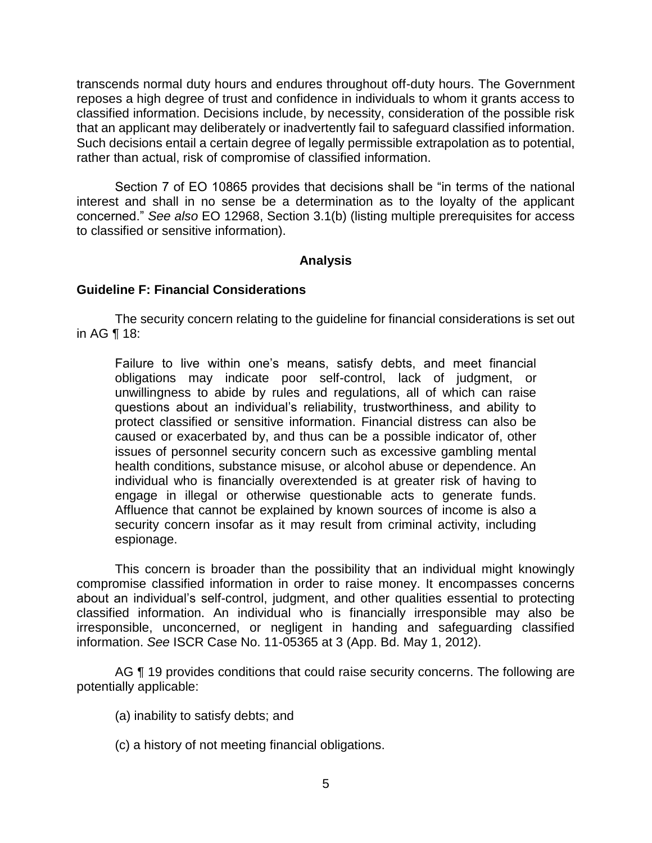transcends normal duty hours and endures throughout off-duty hours. The Government reposes a high degree of trust and confidence in individuals to whom it grants access to classified information. Decisions include, by necessity, consideration of the possible risk that an applicant may deliberately or inadvertently fail to safeguard classified information. Such decisions entail a certain degree of legally permissible extrapolation as to potential, rather than actual, risk of compromise of classified information.

 Section 7 of EO 10865 provides that decisions shall be "in terms of the national interest and shall in no sense be a determination as to the loyalty of the applicant concerned." *See also* EO 12968, Section 3.1(b) (listing multiple prerequisites for access to classified or sensitive information).

# **Analysis**

### **Guideline F: Financial Considerations**

 The security concern relating to the guideline for financial considerations is set out in AG ¶ 18:

Failure to live within one's means, satisfy debts, and meet financial obligations may indicate poor self-control, lack of judgment, or unwillingness to abide by rules and regulations, all of which can raise questions about an individual's reliability, trustworthiness, and ability to protect classified or sensitive information. Financial distress can also be caused or exacerbated by, and thus can be a possible indicator of, other issues of personnel security concern such as excessive gambling mental health conditions, substance misuse, or alcohol abuse or dependence. An individual who is financially overextended is at greater risk of having to engage in illegal or otherwise questionable acts to generate funds. Affluence that cannot be explained by known sources of income is also a security concern insofar as it may result from criminal activity, including espionage.

 This concern is broader than the possibility that an individual might knowingly compromise classified information in order to raise money. It encompasses concerns about an individual's self-control, judgment, and other qualities essential to protecting classified information. An individual who is financially irresponsible may also be irresponsible, unconcerned, or negligent in handing and safeguarding classified information. *See* ISCR Case No. 11-05365 at 3 (App. Bd. May 1, 2012).

AG ¶ 19 provides conditions that could raise security concerns. The following are potentially applicable:

- (a) inability to satisfy debts; and
- (c) a history of not meeting financial obligations.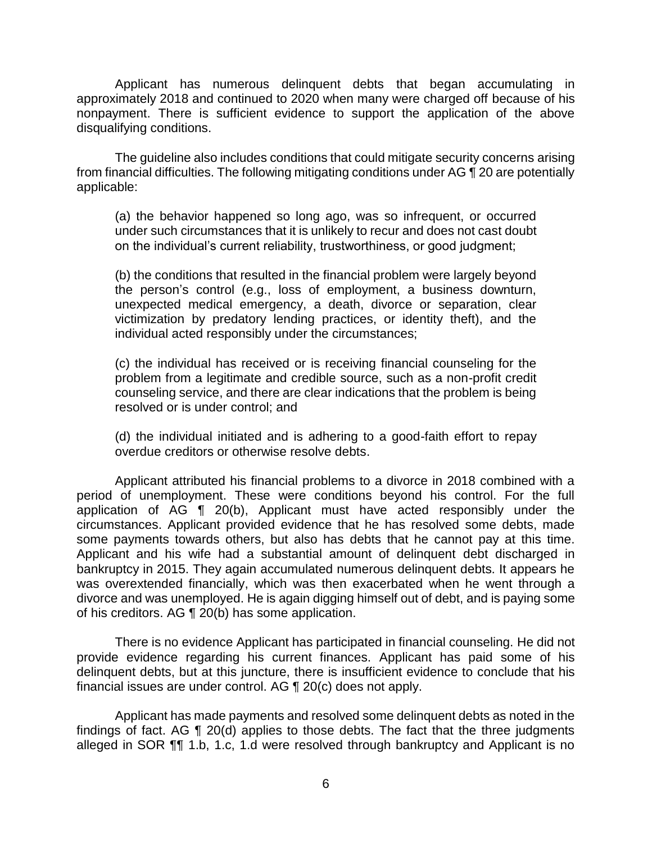Applicant has numerous delinquent debts that began accumulating in approximately 2018 and continued to 2020 when many were charged off because of his nonpayment. There is sufficient evidence to support the application of the above disqualifying conditions.

 The guideline also includes conditions that could mitigate security concerns arising from financial difficulties. The following mitigating conditions under AG ¶ 20 are potentially applicable:

 (a) the behavior happened so long ago, was so infrequent, or occurred under such circumstances that it is unlikely to recur and does not cast doubt on the individual's current reliability, trustworthiness, or good judgment;

 (b) the conditions that resulted in the financial problem were largely beyond the person's control (e.g., loss of employment, a business downturn, unexpected medical emergency, a death, divorce or separation, clear victimization by predatory lending practices, or identity theft), and the individual acted responsibly under the circumstances;

 (c) the individual has received or is receiving financial counseling for the problem from a legitimate and credible source, such as a non-profit credit counseling service, and there are clear indications that the problem is being resolved or is under control; and

 (d) the individual initiated and is adhering to a good-faith effort to repay overdue creditors or otherwise resolve debts.

 Applicant attributed his financial problems to a divorce in 2018 combined with a period of unemployment. These were conditions beyond his control. For the full application of AG ¶ 20(b), Applicant must have acted responsibly under the circumstances. Applicant provided evidence that he has resolved some debts, made Applicant and his wife had a substantial amount of delinquent debt discharged in was overextended financially, which was then exacerbated when he went through a divorce and was unemployed. He is again digging himself out of debt, and is paying some some payments towards others, but also has debts that he cannot pay at this time. bankruptcy in 2015. They again accumulated numerous delinquent debts. It appears he of his creditors. AG ¶ 20(b) has some application.

 There is no evidence Applicant has participated in financial counseling. He did not provide evidence regarding his current finances. Applicant has paid some of his delinquent debts, but at this juncture, there is insufficient evidence to conclude that his financial issues are under control. AG ¶ 20(c) does not apply.

 Applicant has made payments and resolved some delinquent debts as noted in the findings of fact. AG ¶ 20(d) applies to those debts. The fact that the three judgments alleged in SOR ¶¶ 1.b, 1.c, 1.d were resolved through bankruptcy and Applicant is no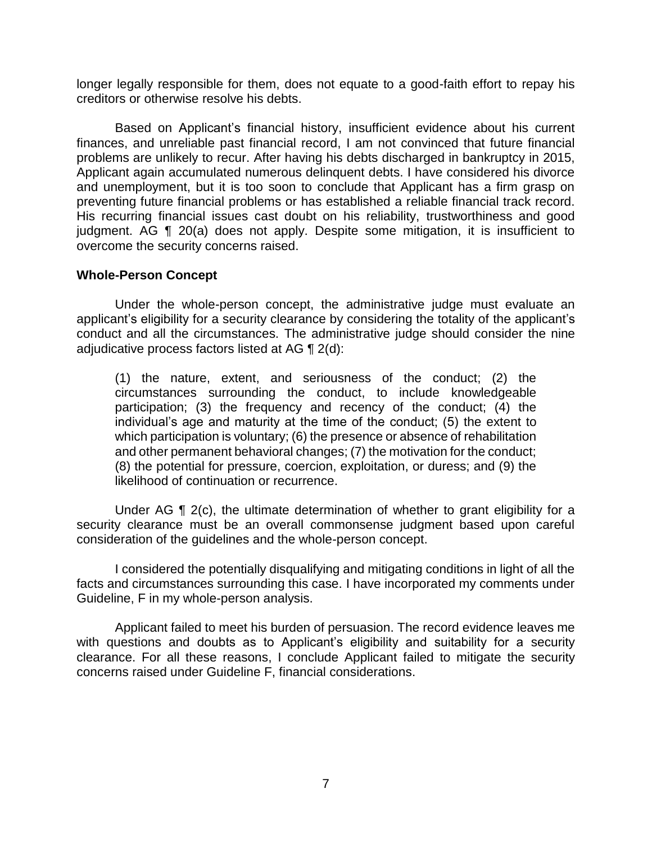longer legally responsible for them, does not equate to a good-faith effort to repay his creditors or otherwise resolve his debts.

 Based on Applicant's financial history, insufficient evidence about his current finances, and unreliable past financial record, I am not convinced that future financial problems are unlikely to recur. After having his debts discharged in bankruptcy in 2015, Applicant again accumulated numerous delinquent debts. I have considered his divorce and unemployment, but it is too soon to conclude that Applicant has a firm grasp on preventing future financial problems or has established a reliable financial track record. His recurring financial issues cast doubt on his reliability, trustworthiness and good judgment. AG ¶ 20(a) does not apply. Despite some mitigation, it is insufficient to overcome the security concerns raised.

### **Whole-Person Concept**

 Under the whole-person concept, the administrative judge must evaluate an applicant's eligibility for a security clearance by considering the totality of the applicant's conduct and all the circumstances. The administrative judge should consider the nine adjudicative process factors listed at AG ¶ 2(d):

(1) the nature, extent, and seriousness of the conduct; (2) the circumstances surrounding the conduct, to include knowledgeable participation; (3) the frequency and recency of the conduct; (4) the individual's age and maturity at the time of the conduct; (5) the extent to which participation is voluntary; (6) the presence or absence of rehabilitation and other permanent behavioral changes; (7) the motivation for the conduct; (8) the potential for pressure, coercion, exploitation, or duress; and (9) the likelihood of continuation or recurrence.

Under AG ¶ 2(c), the ultimate determination of whether to grant eligibility for a security clearance must be an overall commonsense judgment based upon careful consideration of the guidelines and the whole-person concept.

 I considered the potentially disqualifying and mitigating conditions in light of all the facts and circumstances surrounding this case. I have incorporated my comments under Guideline, F in my whole-person analysis.

 Applicant failed to meet his burden of persuasion. The record evidence leaves me with questions and doubts as to Applicant's eligibility and suitability for a security clearance. For all these reasons, I conclude Applicant failed to mitigate the security concerns raised under Guideline F, financial considerations.